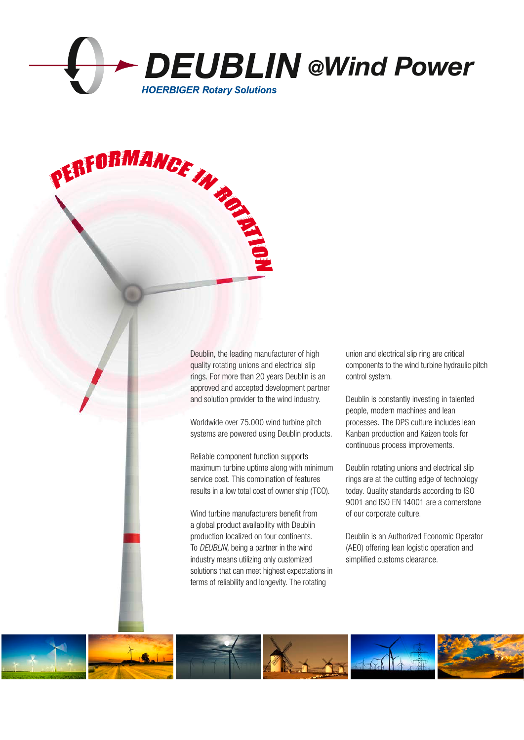

PERFORMANCE IN THE

Deublin, the leading manufacturer of high quality rotating unions and electrical slip rings. For more than 20 years Deublin is an approved and accepted development partner and solution provider to the wind industry.

Worldwide over 75.000 wind turbine pitch systems are powered using Deublin products.

Reliable component function supports maximum turbine uptime along with minimum service cost. This combination of features results in a low total cost of owner ship (TCO).

Wind turbine manufacturers benefit from a global product availability with Deublin production localized on four continents. To DEUBLIN, being a partner in the wind industry means utilizing only customized solutions that can meet highest expectations in terms of reliability and longevity. The rotating

union and electrical slip ring are critical components to the wind turbine hydraulic pitch control system.

Deublin is constantly investing in talented people, modern machines and lean processes. The DPS culture includes lean Kanban production and Kaizen tools for continuous process improvements.

Deublin rotating unions and electrical slip rings are at the cutting edge of technology today. Quality standards according to ISO 9001 and ISO EN 14001 are a cornerstone of our corporate culture.

Deublin is an Authorized Economic Operator (AEO) offering lean logistic operation and simplified customs clearance.

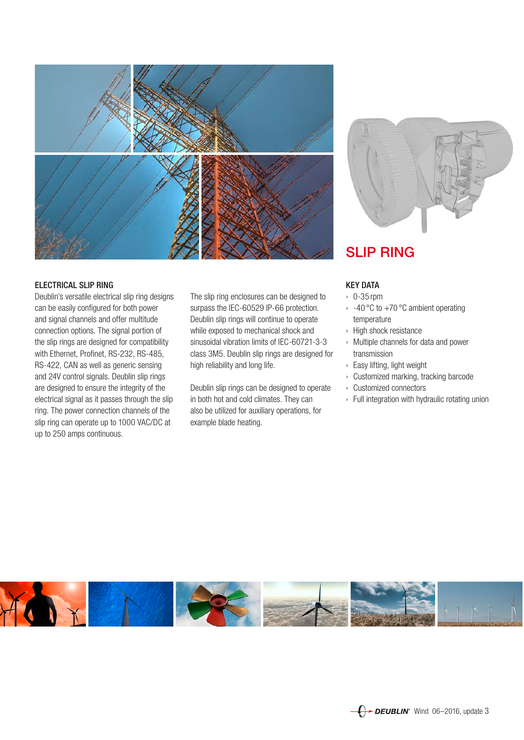

# ELECTRICAL SLIP RING

Deublin's versatile electrical slip ring designs can be easily configured for both power and signal channels and offer multitude connection options. The signal portion of the slip rings are designed for compatibility with Ethernet, Profinet, RS-232, RS-485, RS-422, CAN as well as generic sensing and 24V control signals. Deublin slip rings are designed to ensure the integrity of the electrical signal as it passes through the slip ring. The power connection channels of the slip ring can operate up to 1000 VAC/DC at up to 250 amps continuous.

The slip ring enclosures can be designed to surpass the IEC-60529 IP-66 protection. Deublin slip rings will continue to operate while exposed to mechanical shock and sinusoidal vibration limits of IEC-60721-3-3 class 3M5. Deublin slip rings are designed for high reliability and long life.

Deublin slip rings can be designed to operate in both hot and cold climates. They can also be utilized for auxiliary operations, for example blade heating.



# SLIP RING

## KEY DATA

- › 0-35 rpm
- $\rightarrow$  -40 °C to +70 °C ambient operating temperature
- › High shock resistance
- › Multiple channels for data and power transmission
- › Easy lifting, light weight
- › Customized marking, tracking barcode
- › Customized connectors
- › Full integration with hydraulic rotating union

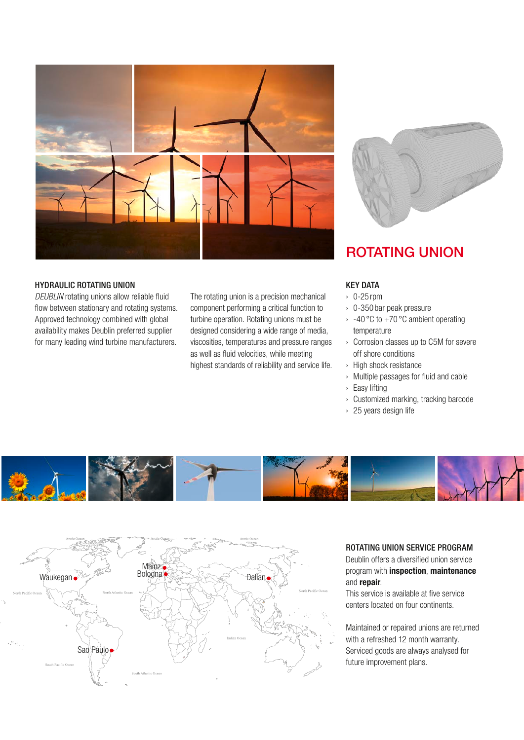

# HYDRAULIC ROTATING UNION

DEUBLIN rotating unions allow reliable fluid flow between stationary and rotating systems. Approved technology combined with global availability makes Deublin preferred supplier for many leading wind turbine manufacturers.

The rotating union is a precision mechanical component performing a critical function to turbine operation. Rotating unions must be designed considering a wide range of media, viscosities, temperatures and pressure ranges as well as fluid velocities, while meeting highest standards of reliability and service life.



# ROTATING UNION

## KEY DATA

- › 0-25 rpm
- › 0-350 bar peak pressure
- $\rightarrow$  -40 °C to +70 °C ambient operating temperature
- › Corrosion classes up to C5M for severe off shore conditions
- › High shock resistance
- › Multiple passages for fluid and cable
- › Easy lifting
- › Customized marking, tracking barcode
- › 25 years design life





## ROTATING UNION SERVICE PROGRAM

Deublin offers a diversified union service program with inspection, maintenance and repair.

This service is available at five service centers located on four continents.

Maintained or repaired unions are returned with a refreshed 12 month warranty. Serviced goods are always analysed for future improvement plans.